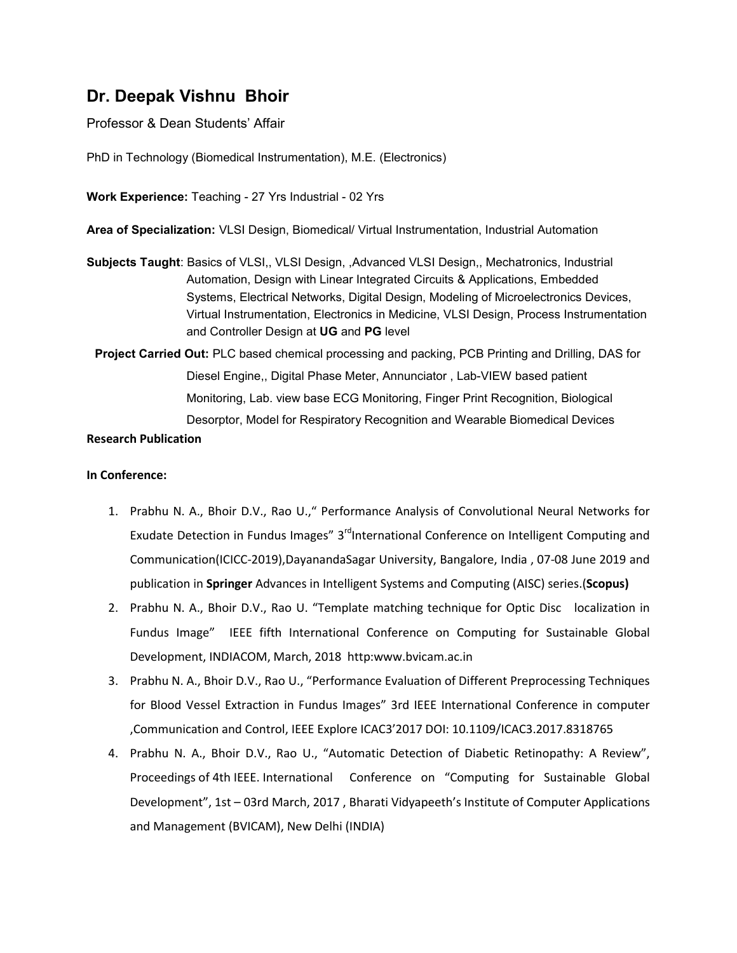# **Dr. Deepak Vishnu Bhoir**

Professor & Dean Students' Affair

PhD in Technology (Biomedical Instrumentation), M.E. (Electronics)

**Work Experience:** Teaching - 27 Yrs Industrial - 02 Yrs

**Area of Specialization:** VLSI Design, Biomedical/ Virtual Instrumentation, Industrial Automation

- **Subjects Taught**: Basics of VLSI,, VLSI Design, ,Advanced VLSI Design,, Mechatronics, Industrial Automation, Design with Linear Integrated Circuits & Applications, Embedded Systems, Electrical Networks, Digital Design, Modeling of Microelectronics Devices, Virtual Instrumentation, Electronics in Medicine, VLSI Design, Process Instrumentation and Controller Design at **UG** and **PG** level
	- **Project Carried Out:** PLC based chemical processing and packing, PCB Printing and Drilling, DAS for Diesel Engine,, Digital Phase Meter, Annunciator , Lab-VIEW based patient Monitoring, Lab. view base ECG Monitoring, Finger Print Recognition, Biological Desorptor, Model for Respiratory Recognition and Wearable Biomedical Devices

## **Research Publication**

### **In Conference:**

- 1. Prabhu N. A., Bhoir D.V., Rao U.," Performance Analysis of Convolutional Neural Networks for Exudate Detection in Fundus Images" 3<sup>rd</sup>International Conference on Intelligent Computing and Communication(ICICC-2019),DayanandaSagar University, Bangalore, India , 07-08 June 2019 and publication in **Springer** Advances in Intelligent Systems and Computing (AISC) series.(**Scopus)**
- 2. Prabhu N. A., Bhoir D.V., Rao U. "Template matching technique for Optic Disc localization in Fundus Image" IEEE fifth International Conference on Computing for Sustainable Global Development, INDIACOM, March, 2018 http:www.bvicam.ac.in
- 3. Prabhu N. A., Bhoir D.V., Rao U., "Performance Evaluation of Different Preprocessing Techniques for Blood Vessel Extraction in Fundus Images" 3rd IEEE International Conference in computer ,Communication and Control, IEEE Explore ICAC3'2017 DOI: 10.1109/ICAC3.2017.8318765
- 4. Prabhu N. A., Bhoir D.V., Rao U., "Automatic Detection of Diabetic Retinopathy: A Review", Proceedings of 4th IEEE. International Conference on "Computing for Sustainable Global Development", 1st – 03rd March, 2017 , Bharati Vidyapeeth's Institute of Computer Applications and Management (BVICAM), New Delhi (INDIA)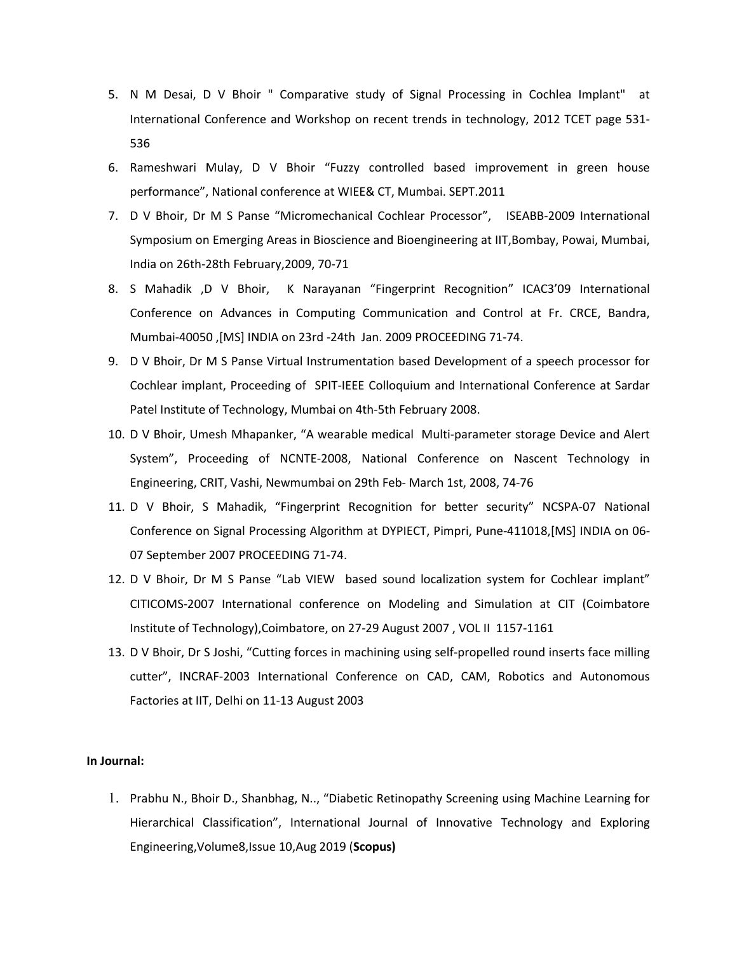- 5. N M Desai, D V Bhoir " Comparative study of Signal Processing in Cochlea Implant" at International Conference and Workshop on recent trends in technology, 2012 TCET page 531- 536
- 6. Rameshwari Mulay, D V Bhoir "Fuzzy controlled based improvement in green house performance", National conference at WIEE& CT, Mumbai. SEPT.2011
- 7. D V Bhoir, Dr M S Panse "Micromechanical Cochlear Processor", ISEABB-2009 International Symposium on Emerging Areas in Bioscience and Bioengineering at IIT,Bombay, Powai, Mumbai, India on 26th-28th February,2009, 70-71
- 8. S Mahadik ,D V Bhoir, K Narayanan "Fingerprint Recognition" ICAC3'09 International Conference on Advances in Computing Communication and Control at Fr. CRCE, Bandra, Mumbai-40050 ,[MS] INDIA on 23rd -24th Jan. 2009 PROCEEDING 71-74.
- 9. D V Bhoir, Dr M S Panse Virtual Instrumentation based Development of a speech processor for Cochlear implant, Proceeding of SPIT-IEEE Colloquium and International Conference at Sardar Patel Institute of Technology, Mumbai on 4th-5th February 2008.
- 10. D V Bhoir, Umesh Mhapanker, "A wearable medical Multi-parameter storage Device and Alert System", Proceeding of NCNTE-2008, National Conference on Nascent Technology in Engineering, CRIT, Vashi, Newmumbai on 29th Feb- March 1st, 2008, 74-76
- 11. D V Bhoir, S Mahadik, "Fingerprint Recognition for better security" NCSPA-07 National Conference on Signal Processing Algorithm at DYPIECT, Pimpri, Pune-411018,[MS] INDIA on 06- 07 September 2007 PROCEEDING 71-74.
- 12. D V Bhoir, Dr M S Panse "Lab VIEW based sound localization system for Cochlear implant" CITICOMS-2007 International conference on Modeling and Simulation at CIT (Coimbatore Institute of Technology),Coimbatore, on 27-29 August 2007 , VOL II 1157-1161
- 13. D V Bhoir, Dr S Joshi, "Cutting forces in machining using self-propelled round inserts face milling cutter", INCRAF-2003 International Conference on CAD, CAM, Robotics and Autonomous Factories at IIT, Delhi on 11-13 August 2003

#### **In Journal:**

1. Prabhu N., Bhoir D., Shanbhag, N.., "Diabetic Retinopathy Screening using Machine Learning for Hierarchical Classification", International Journal of Innovative Technology and Exploring Engineering,Volume8,Issue 10,Aug 2019 (**Scopus)**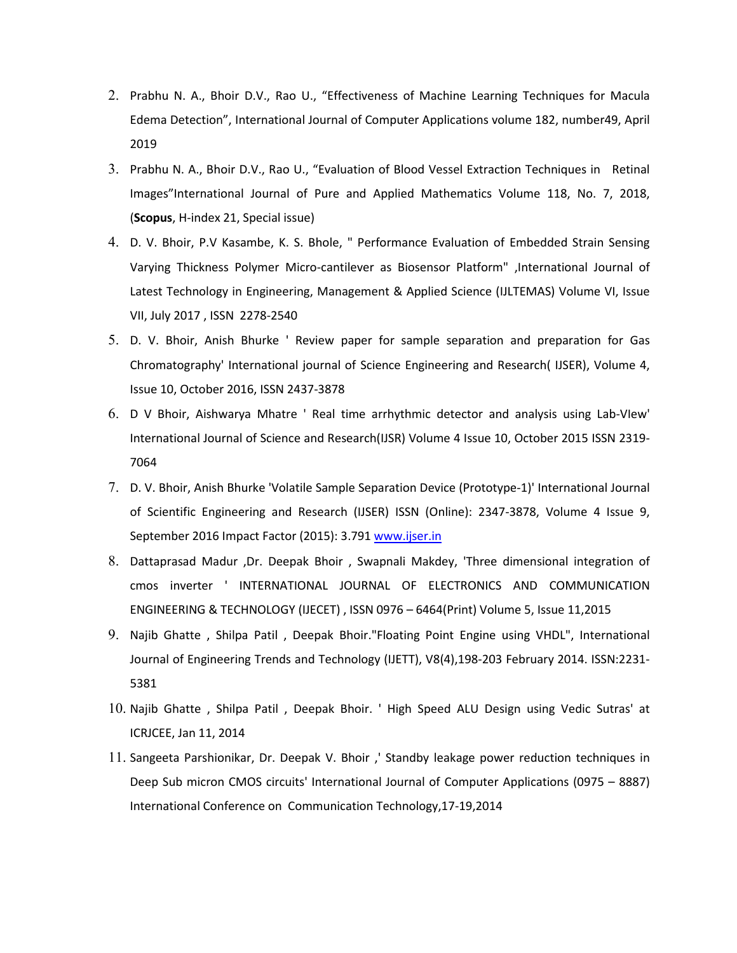- 2. Prabhu N. A., Bhoir D.V., Rao U., "Effectiveness of Machine Learning Techniques for Macula Edema Detection", International Journal of Computer Applications volume 182, number49, April 2019
- 3. Prabhu N. A., Bhoir D.V., Rao U., "Evaluation of Blood Vessel Extraction Techniques in Retinal Images"International Journal of Pure and Applied Mathematics Volume 118, No. 7, 2018, (**Scopus**, H-index 21, Special issue)
- 4. D. V. Bhoir, P.V Kasambe, K. S. Bhole, " Performance Evaluation of Embedded Strain Sensing Varying Thickness Polymer Micro-cantilever as Biosensor Platform" ,International Journal of Latest Technology in Engineering, Management & Applied Science (IJLTEMAS) Volume VI, Issue VII, July 2017 , ISSN 2278-2540
- 5. D. V. Bhoir, Anish Bhurke ' Review paper for sample separation and preparation for Gas Chromatography' International journal of Science Engineering and Research( IJSER), Volume 4, Issue 10, October 2016, ISSN 2437-3878
- 6. D V Bhoir, Aishwarya Mhatre ' Real time arrhythmic detector and analysis using Lab-VIew' International Journal of Science and Research(IJSR) Volume 4 Issue 10, October 2015 ISSN 2319- 7064
- 7. D. V. Bhoir, Anish Bhurke 'Volatile Sample Separation Device (Prototype-1)' International Journal of Scientific Engineering and Research (IJSER) ISSN (Online): 2347-3878, Volume 4 Issue 9, September 2016 Impact Factor (2015): 3.791 www.ijser.in
- 8. Dattaprasad Madur ,Dr. Deepak Bhoir , Swapnali Makdey, 'Three dimensional integration of cmos inverter ' INTERNATIONAL JOURNAL OF ELECTRONICS AND COMMUNICATION ENGINEERING & TECHNOLOGY (IJECET) , ISSN 0976 – 6464(Print) Volume 5, Issue 11,2015
- 9. Najib Ghatte , Shilpa Patil , Deepak Bhoir."Floating Point Engine using VHDL", International Journal of Engineering Trends and Technology (IJETT), V8(4),198-203 February 2014. ISSN:2231- 5381
- 10. Najib Ghatte , Shilpa Patil , Deepak Bhoir. ' High Speed ALU Design using Vedic Sutras' at ICRJCEE, Jan 11, 2014
- 11. Sangeeta Parshionikar, Dr. Deepak V. Bhoir ,' Standby leakage power reduction techniques in Deep Sub micron CMOS circuits' International Journal of Computer Applications (0975 – 8887) International Conference on Communication Technology,17-19,2014